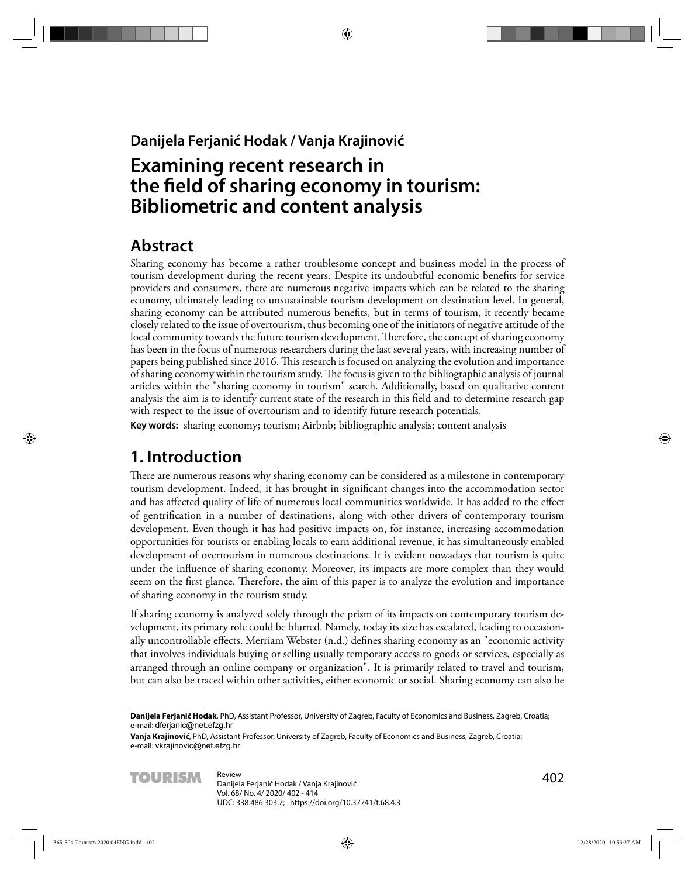#### **Danijela Ferjanić Hodak / Vanja Krajinović**

# **Examining recent research in**  the field of sharing economy in tourism: **Bibliometric and content analysis**

## **Abstract**

Sharing economy has become a rather troublesome concept and business model in the process of tourism development during the recent years. Despite its undoubtful economic benefits for service providers and consumers, there are numerous negative impacts which can be related to the sharing economy, ultimately leading to unsustainable tourism development on destination level. In general, sharing economy can be attributed numerous benefits, but in terms of tourism, it recently became closely related to the issue of overtourism, thus becoming one of the initiators of negative attitude of the local community towards the future tourism development. Therefore, the concept of sharing economy has been in the focus of numerous researchers during the last several years, with increasing number of papers being published since 2016. This research is focused on analyzing the evolution and importance of sharing economy within the tourism study. The focus is given to the bibliographic analysis of journal articles within the "sharing economy in tourism" search. Additionally, based on qualitative content analysis the aim is to identify current state of the research in this field and to determine research gap with respect to the issue of overtourism and to identify future research potentials.

**Key words:** sharing economy; tourism; Airbnb; bibliographic analysis; content analysis

## **1. Introduction**

There are numerous reasons why sharing economy can be considered as a milestone in contemporary tourism development. Indeed, it has brought in significant changes into the accommodation sector and has affected quality of life of numerous local communities worldwide. It has added to the effect of gentrification in a number of destinations, along with other drivers of contemporary tourism development. Even though it has had positive impacts on, for instance, increasing accommodation opportunities for tourists or enabling locals to earn additional revenue, it has simultaneously enabled development of overtourism in numerous destinations. It is evident nowadays that tourism is quite under the influence of sharing economy. Moreover, its impacts are more complex than they would seem on the first glance. Therefore, the aim of this paper is to analyze the evolution and importance of sharing economy in the tourism study.

If sharing economy is analyzed solely through the prism of its impacts on contemporary tourism development, its primary role could be blurred. Namely, today its size has escalated, leading to occasionally uncontrollable effects. Merriam Webster (n.d.) defines sharing economy as an "economic activity that involves individuals buying or selling usually temporary access to goods or services, especially as arranged through an online company or organization". It is primarily related to travel and tourism, but can also be traced within other activities, either economic or social. Sharing economy can also be

**Vanja Krajinović**, PhD, Assistant Professor, University of Zagreb, Faculty of Economics and Business, Zagreb, Croatia; e-mail: vkrajinovic@net.efzg.hr



**Danijela Ferjanić Hodak**, PhD, Assistant Professor, University of Zagreb, Faculty of Economics and Business, Zagreb, Croatia; e-mail: dferjanic@net.efzg.hr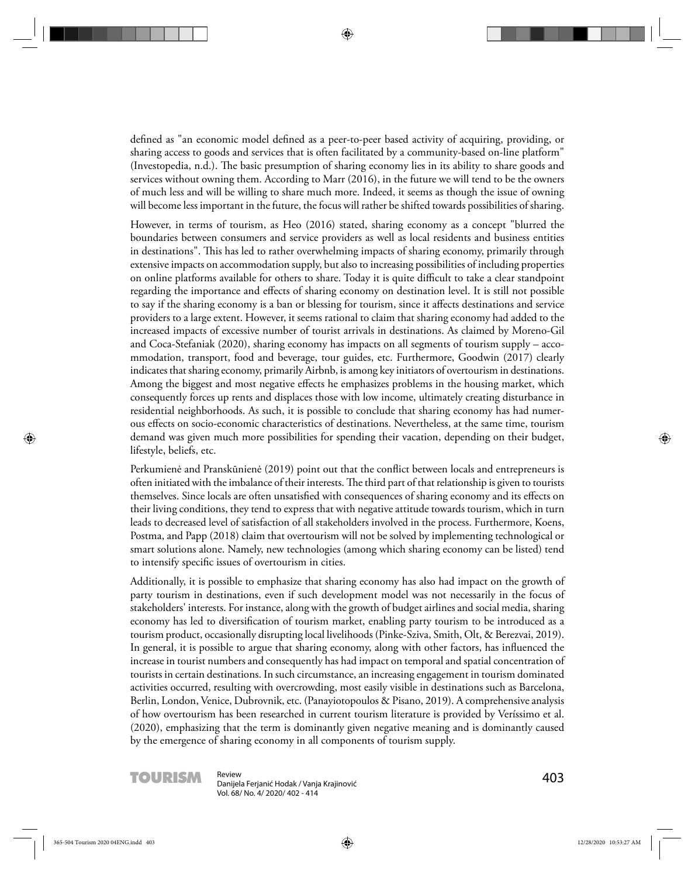defined as "an economic model defined as a peer-to-peer based activity of acquiring, providing, or sharing access to goods and services that is often facilitated by a community-based on-line platform" (Investopedia, n.d.). The basic presumption of sharing economy lies in its ability to share goods and services without owning them. According to Marr (2016), in the future we will tend to be the owners of much less and will be willing to share much more. Indeed, it seems as though the issue of owning will become less important in the future, the focus will rather be shifted towards possibilities of sharing.

However, in terms of tourism, as Heo (2016) stated, sharing economy as a concept "blurred the boundaries between consumers and service providers as well as local residents and business entities in destinations". This has led to rather overwhelming impacts of sharing economy, primarily through extensive impacts on accommodation supply, but also to increasing possibilities of including properties on online platforms available for others to share. Today it is quite difficult to take a clear standpoint regarding the importance and effects of sharing economy on destination level. It is still not possible to say if the sharing economy is a ban or blessing for tourism, since it affects destinations and service providers to a large extent. However, it seems rational to claim that sharing economy had added to the increased impacts of excessive number of tourist arrivals in destinations. As claimed by Moreno-Gil and Coca-Stefaniak (2020), sharing economy has impacts on all segments of tourism supply – accommodation, transport, food and beverage, tour guides, etc. Furthermore, Goodwin (2017) clearly indicates that sharing economy, primarily Airbnb, is among key initiators of overtourism in destinations. Among the biggest and most negative effects he emphasizes problems in the housing market, which consequently forces up rents and displaces those with low income, ultimately creating disturbance in residential neighborhoods. As such, it is possible to conclude that sharing economy has had numerous eff ects on socio-economic characteristics of destinations. Nevertheless, at the same time, tourism demand was given much more possibilities for spending their vacation, depending on their budget, lifestyle, beliefs, etc.

Perkumienė and Pranskūnienė (2019) point out that the conflict between locals and entrepreneurs is often initiated with the imbalance of their interests. The third part of that relationship is given to tourists themselves. Since locals are often unsatisfied with consequences of sharing economy and its effects on their living conditions, they tend to express that with negative attitude towards tourism, which in turn leads to decreased level of satisfaction of all stakeholders involved in the process. Furthermore, Koens, Postma, and Papp (2018) claim that overtourism will not be solved by implementing technological or smart solutions alone. Namely, new technologies (among which sharing economy can be listed) tend to intensify specific issues of overtourism in cities.

Additionally, it is possible to emphasize that sharing economy has also had impact on the growth of party tourism in destinations, even if such development model was not necessarily in the focus of stakeholders' interests. For instance, along with the growth of budget airlines and social media, sharing economy has led to diversification of tourism market, enabling party tourism to be introduced as a tourism product, occasionally disrupting local livelihoods (Pinke-Sziva, Smith, Olt, & Berezvai, 2019). In general, it is possible to argue that sharing economy, along with other factors, has influenced the increase in tourist numbers and consequently has had impact on temporal and spatial concentration of tourists in certain destinations. In such circumstance, an increasing engagement in tourism dominated activities occurred, resulting with overcrowding, most easily visible in destinations such as Barcelona, Berlin, London, Venice, Dubrovnik, etc. (Panayiotopoulos & Pisano, 2019). A comprehensive analysis of how overtourism has been researched in current tourism literature is provided by Veríssimo et al. (2020), emphasizing that the term is dominantly given negative meaning and is dominantly caused by the emergence of sharing economy in all components of tourism supply.



**TOURISM** Review<br>
Danijela Ferjanić Hodak / Vanja Krajinović **1988 - 1988 - 1988 - 1988 - 1988 - 1988 - 1988 - 1988** Vol. 68/ No. 4/ 2020/ 402 - 414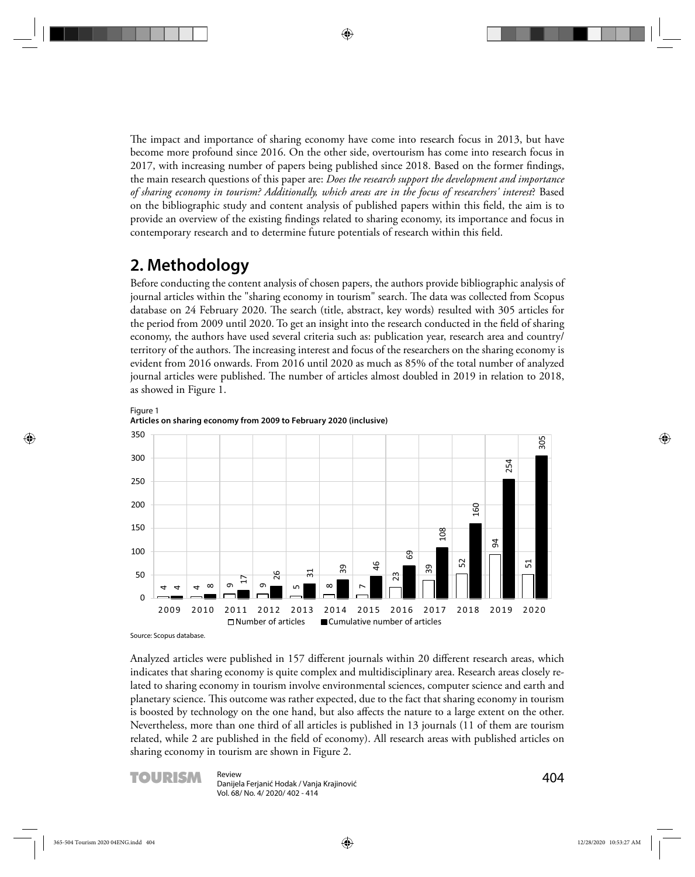The impact and importance of sharing economy have come into research focus in 2013, but have become more profound since 2016. On the other side, overtourism has come into research focus in 2017, with increasing number of papers being published since 2018. Based on the former findings, the main research questions of this paper are: *Does the research support the development and importance of sharing economy in tourism? Additionally, which areas are in the focus of researchers' interest*? Based on the bibliographic study and content analysis of published papers within this field, the aim is to provide an overview of the existing findings related to sharing economy, its importance and focus in contemporary research and to determine future potentials of research within this field.

## **2. Methodology**

Before conducting the content analysis of chosen papers, the authors provide bibliographic analysis of journal articles within the "sharing economy in tourism" search. The data was collected from Scopus database on 24 February 2020. The search (title, abstract, key words) resulted with 305 articles for the period from 2009 until 2020. To get an insight into the research conducted in the field of sharing economy, the authors have used several criteria such as: publication year, research area and country/ territory of the authors. The increasing interest and focus of the researchers on the sharing economy is evident from 2016 onwards. From 2016 until 2020 as much as 85% of the total number of analyzed journal articles were published. The number of articles almost doubled in 2019 in relation to 2018, as showed in Figure 1.





Source: Scopus database.

Analyzed articles were published in 157 different journals within 20 different research areas, which indicates that sharing economy is quite complex and multidisciplinary area. Research areas closely related to sharing economy in tourism involve environmental sciences, computer science and earth and planetary science. This outcome was rather expected, due to the fact that sharing economy in tourism is boosted by technology on the one hand, but also affects the nature to a large extent on the other. Nevertheless, more than one third of all articles is published in 13 journals (11 of them are tourism related, while 2 are published in the field of economy). All research areas with published articles on sharing economy in tourism are shown in Figure 2.



**TOURISM** Review<br>
Danijela Ferjanić Hodak / Vanja Krajinović **1988 - 1999 - 1999 - 1999 - 1999 - 1999 - 1999 - 1999** Vol. 68/ No. 4/ 2020/ 402 - 414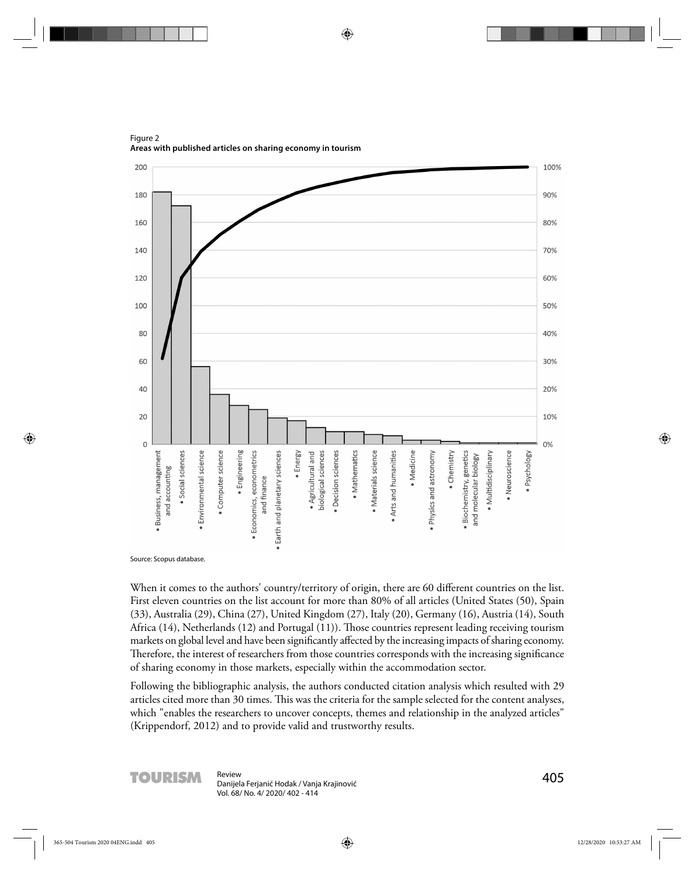200 100% 180 90% 80% 160 70%  $14<sub>0</sub>$  $120$ 60% 100 50% 80 40% 60  $30%$ 20% 40 20 10%  $\mathbf 0$  $0%$ · Engineering · Mathematics Environmental science · Earth and planetary sciences Business, management · Computer science · Economics, econometrics biological sciences Decision sciences · Materials science · Social sciences · Energy · Agricultural and Arts and humanities · Medicine Physics and astronomy • Chemistry · Biochemistry, genetics · Multidisciplinary · Neuroscience · Psychology and molecular biology and accounting and finance

Figure 2 **Areas with published articles on sharing economy in tourism** 

Source: Scopus database.

When it comes to the authors' country/territory of origin, there are 60 different countries on the list. First eleven countries on the list account for more than 80% of all articles (United States (50), Spain (33), Australia (29), China (27), United Kingdom (27), Italy (20), Germany (16), Austria (14), South Africa (14), Netherlands (12) and Portugal (11)). Those countries represent leading receiving tourism markets on global level and have been significantly affected by the increasing impacts of sharing economy. Therefore, the interest of researchers from those countries corresponds with the increasing significance of sharing economy in those markets, especially within the accommodation sector.

Following the bibliographic analysis, the authors conducted citation analysis which resulted with 29 articles cited more than 30 times. This was the criteria for the sample selected for the content analyses, which "enables the researchers to uncover concepts, themes and relationship in the analyzed articles" (Krippendorf, 2012) and to provide valid and trustworthy results.



**TOURISM** Review<br>
Danijela Ferjanić Hodak / Vanja Krajinović **1988 - 1988 - 1988 - 1988 - 1989 - 1989 - 1989 - 1988** Vol. 68/ No. 4/ 2020/ 402 - 414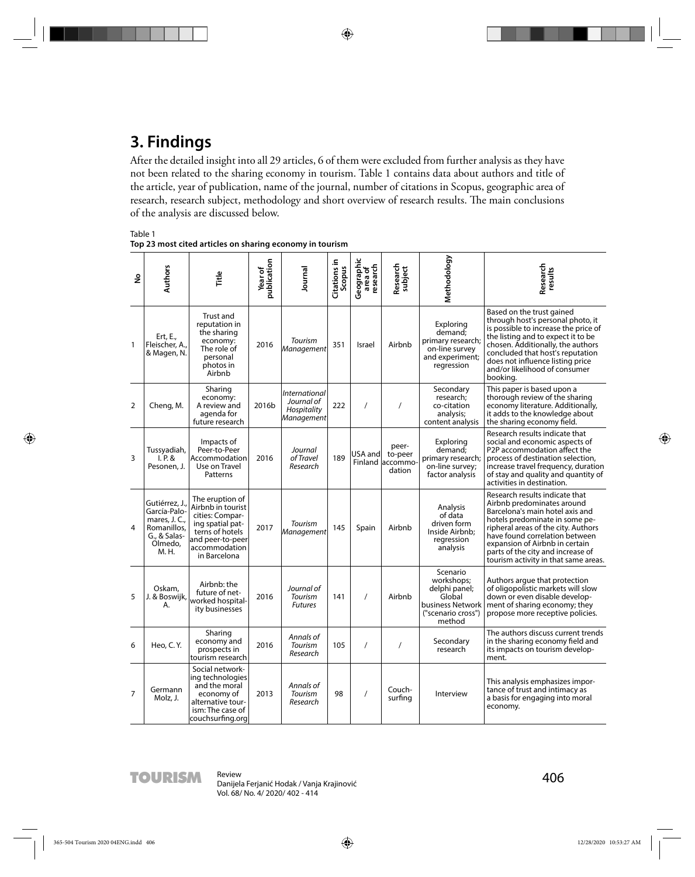# **3. Findings**

After the detailed insight into all 29 articles, 6 of them were excluded from further analysis as they have not been related to the sharing economy in tourism. Table 1 contains data about authors and title of the article, year of publication, name of the journal, number of citations in Scopus, geographic area of research, research subject, methodology and short overview of research results. The main conclusions of the analysis are discussed below.

Table 1

| Top 23 most cited articles on sharing economy in tourism |  |
|----------------------------------------------------------|--|
|----------------------------------------------------------|--|

| ٤              | <b>Authors</b>                                                                                    | Ě                                                                                                                                                   | publication<br>Year of | Journal                                                         | Citations in<br>Scopus | Geographic<br>area of<br>research | Research<br>subject                             | Methodology                                                                                           | Research<br>results                                                                                                                                                                                                                                                                                                       |
|----------------|---------------------------------------------------------------------------------------------------|-----------------------------------------------------------------------------------------------------------------------------------------------------|------------------------|-----------------------------------------------------------------|------------------------|-----------------------------------|-------------------------------------------------|-------------------------------------------------------------------------------------------------------|---------------------------------------------------------------------------------------------------------------------------------------------------------------------------------------------------------------------------------------------------------------------------------------------------------------------------|
| $\mathbf{1}$   | Ert, E.,<br>Fleischer, A.,<br>& Magen, N.                                                         | Trust and<br>reputation in<br>the sharing<br>economy:<br>The role of<br>personal<br>photos in<br>Airbnb                                             | 2016                   | Tourism<br>Management                                           | 351                    | Israel                            | Airbnb                                          | Exploring<br>demand:<br>primary research;<br>on-line survey<br>and experiment;<br>regression          | Based on the trust gained<br>through host's personal photo, it<br>is possible to increase the price of<br>the listing and to expect it to be<br>chosen. Additionally, the authors<br>concluded that host's reputation<br>does not influence listing price<br>and/or likelihood of consumer<br>booking.                    |
| $\overline{2}$ | Cheng, M.                                                                                         | Sharing<br>economy:<br>A review and<br>agenda for<br>future research                                                                                | 2016b                  | <i>International</i><br>Journal of<br>Hospitality<br>Management | 222                    | $\prime$                          | $\prime$                                        | Secondary<br>research;<br>co-citation<br>analysis;<br>content analysis                                | This paper is based upon a<br>thorough review of the sharing<br>economy literature. Additionally,<br>it adds to the knowledge about<br>the sharing economy field.                                                                                                                                                         |
| 3              | Tussyadiah,<br>I.P. &<br>Pesonen, J.                                                              | Impacts of<br>Peer-to-Peer<br>Accommodation<br>Use on Travel<br>Patterns                                                                            | 2016                   | Journal<br>of Travel<br>Research                                | 189                    | USA and                           | peer-<br>to-peer<br>Finland laccommo-<br>dation | Exploring<br>demand:<br>primary research;<br>on-line survey;<br>factor analysis                       | Research results indicate that<br>social and economic aspects of<br>P2P accommodation affect the<br>process of destination selection,<br>increase travel frequency, duration<br>of stay and quality and quantity of<br>activities in destination.                                                                         |
| 4              | Gutiérrez, J.<br>García-Palo-<br>mares, J. C.,<br>Romanillos,<br>G., & Salas-<br>Olmedo.<br>M. H. | The eruption of<br>Airbnb in tourist<br>cities: Compar-<br>ing spatial pat-<br>terns of hotels<br>and peer-to-peer<br>accommodation<br>in Barcelona | 2017                   | Tourism<br><b>Management</b>                                    | 145                    | Spain                             | Airbnb                                          | Analysis<br>of data<br>driven form<br>Inside Airbnb:<br>regression<br>analysis                        | Research results indicate that<br>Airbnb predominates around<br>Barcelona's main hotel axis and<br>hotels predominate in some pe-<br>ripheral areas of the city. Authors<br>have found correlation between<br>expansion of Airbnb in certain<br>parts of the city and increase of<br>tourism activity in that same areas. |
| 5              | Oskam,<br>J. & Boswijk,<br>А.                                                                     | Airbnb: the<br>future of net-<br>worked hospital-<br>ity businesses                                                                                 | 2016                   | Journal of<br>Tourism<br><b>Futures</b>                         | 141                    | $\prime$                          | Airbnb                                          | Scenario<br>workshops;<br>delphi panel;<br>Global<br>business Network<br>("scenario cross")<br>method | Authors arque that protection<br>of oligopolistic markets will slow<br>down or even disable develop-<br>ment of sharing economy; they<br>propose more receptive policies.                                                                                                                                                 |
| 6              | Heo, C.Y.                                                                                         | Sharing<br>economy and<br>prospects in<br>tourism research                                                                                          | 2016                   | Annals of<br>Tourism<br>Research                                | 105                    | $\prime$                          | $\prime$                                        | Secondary<br>research                                                                                 | The authors discuss current trends<br>in the sharing economy field and<br>its impacts on tourism develop-<br>ment.                                                                                                                                                                                                        |
| $\overline{7}$ | Germann<br>Molz, J.                                                                               | Social network-<br>ing technologies<br>and the moral<br>economy of<br>alternative tour-<br>ism: The case of<br>couchsurfing.org                     | 2013                   | Annals of<br>Tourism<br>Research                                | 98                     | $\prime$                          | Couch-<br>surfing                               | Interview                                                                                             | This analysis emphasizes impor-<br>tance of trust and intimacy as<br>a basis for engaging into moral<br>economy.                                                                                                                                                                                                          |

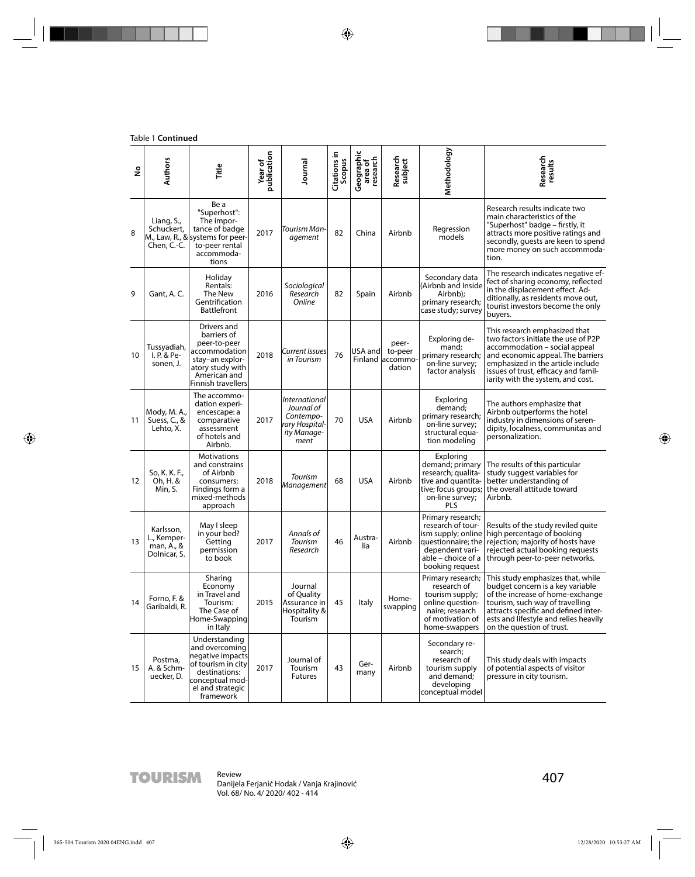| å  | <b>Authors</b>                                         | <b>Title</b>                                                                                                                                    | publication<br>Year of | Journal                                                                                  | Citations in<br>Scopus | Geographic<br>area of<br>research | Research<br>subject                            | Methodology                                                                                                                                    | Research<br>results                                                                                                                                                                                                                                          |
|----|--------------------------------------------------------|-------------------------------------------------------------------------------------------------------------------------------------------------|------------------------|------------------------------------------------------------------------------------------|------------------------|-----------------------------------|------------------------------------------------|------------------------------------------------------------------------------------------------------------------------------------------------|--------------------------------------------------------------------------------------------------------------------------------------------------------------------------------------------------------------------------------------------------------------|
| 8  | Liang, S.,<br>Schuckert,<br>Chen, C.-C.                | Be a<br>"Superhost":<br>The impor-<br>tance of badge<br>M., Law, R., & systems for peer-<br>to-peer rental<br>accommoda-<br>tions               | 2017                   | Tourism Man-<br>agement                                                                  | 82                     | China                             | Airbnb                                         | Regression<br>models                                                                                                                           | Research results indicate two<br>main characteristics of the<br>"Superhost" badge - firstly, it<br>attracts more positive ratings and<br>secondly, quests are keen to spend<br>more money on such accommoda-<br>tion.                                        |
| 9  | Gant, A.C.                                             | Holiday<br>Rentals:<br>The New<br>Gentrification<br><b>Battlefront</b>                                                                          | 2016                   | Sociological<br>Research<br>Online                                                       | 82                     | Spain                             | Airbnb                                         | Secondary data<br>(Airbnb and Inside<br>Airbnb);<br>primary research;<br>case study; survey                                                    | The research indicates negative ef-<br>fect of sharing economy, reflected<br>in the displacement effect. Ad-<br>ditionally, as residents move out,<br>tourist investors become the only<br>buyers.                                                           |
| 10 | Tussyadiah,<br>I. P. & Pe-<br>sonen, J.                | Drivers and<br>barriers of<br>peer-to-peer<br>accommodation<br>stay-an explor-<br>atory study with<br>American and<br><b>Finnish travellers</b> | 2018                   | Current Issues<br>in Tourism                                                             | 76                     | USA and                           | peer-<br>to-peer<br>Finland accommo-<br>dation | Exploring de-<br>mand;<br>primary research;<br>on-line survey;<br>factor analysis                                                              | This research emphasized that<br>two factors initiate the use of P2P<br>accommodation - social appeal<br>and economic appeal. The barriers<br>emphasized in the article include<br>issues of trust, efficacy and famil-<br>iarity with the system, and cost. |
| 11 | Mody, M. A.,<br>Suess, C., &<br>Lehto, X.              | The accommo-<br>dation experi-<br>encescape: a<br>comparative<br>assessment<br>of hotels and<br>Airbnb.                                         | 2017                   | <i>International</i><br>Journal of<br>Contempo-<br>rary Hospital-<br>ity Manage-<br>ment | 70                     | <b>USA</b>                        | Airbnb                                         | Exploring<br>demand;<br>primary research;<br>on-line survey;<br>structural equa-<br>tion modeling                                              | The authors emphasize that<br>Airbnb outperforms the hotel<br>industry in dimensions of seren-<br>dipity, localness, communitas and<br>personalization.                                                                                                      |
| 12 | So, K. K. F.,<br>Oh, H. &<br>Min, S.                   | Motivations<br>and constrains<br>of Airbnb<br>consumers:<br>Findings form a<br>mixed-methods<br>approach                                        | 2018                   | Tourism<br>Management                                                                    | 68                     | <b>USA</b>                        | Airbnb                                         | Exploring<br>demand; primary<br>research; qualita-<br>tive and quantita-<br>tive; focus groups;<br>on-line survey;<br>PLS                      | The results of this particular<br>study suggest variables for<br>better understanding of<br>the overall attitude toward<br>Airbnb.                                                                                                                           |
| 13 | Karlsson,<br>L., Kemper-<br>man, A., &<br>Dolnicar, S. | May I sleep<br>in your bed?<br>Getting<br>permission<br>to book                                                                                 | 2017                   | Annals of<br>Tourism<br>Research                                                         | 46                     | Austra-<br>lia                    | Airbnb                                         | Primary research;<br>research of tour-<br>ism supply; online<br>questionnaire; the<br>dependent vari-<br>able – choice of a<br>booking request | Results of the study reviled quite<br>high percentage of booking<br>rejection; majority of hosts have<br>rejected actual booking requests<br>through peer-to-peer networks.                                                                                  |
| 14 | Forno, F. &<br>Garibaldi, R.                           | Sharing<br>Economy<br>in Travel and<br>Tourism:<br>The Case of<br>Home-Swapping<br>in Italy                                                     | 2015                   | Journal<br>of Quality<br>Assurance in<br>Hospitality &<br>Tourism                        | 45                     | Italy                             | Home-<br>swapping                              | Primary research;<br>research of<br>tourism supply;<br>online question-<br>naire; research<br>of motivation of<br>home-swappers                | This study emphasizes that, while<br>budget concern is a key variable<br>of the increase of home-exchange<br>tourism, such way of travelling<br>attracts specific and defined inter-<br>ests and lifestyle and relies heavily<br>on the question of trust.   |
| 15 | Postma,<br>A. & Schm-<br>uecker, D.                    | Understanding<br>and overcoming<br>negative impacts<br>of tourism in city<br>destinations:<br>conceptual mod-<br>el and strategic<br>framework  | 2017                   | Journal of<br>Tourism<br><b>Futures</b>                                                  | 43                     | Ger-<br>many                      | Airbnb                                         | Secondary re-<br>search:<br>research of<br>tourism supply<br>and demand;<br>developing<br>conceptual model                                     | This study deals with impacts<br>of potential aspects of visitor<br>pressure in city tourism.                                                                                                                                                                |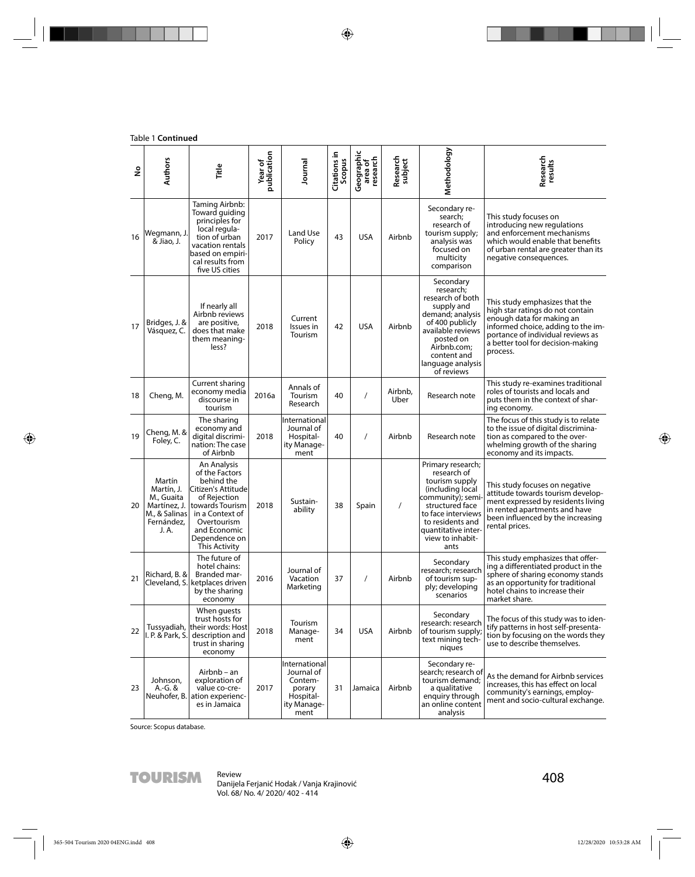#### Table 1 **Continued**

| $\frac{1}{2}$ | <b>Authors</b>                                                                             | Title                                                                                                                                                                                    | publication<br>Year of | Journal                                                                              | Citations in<br>Scopus | Geographic<br>area of<br>research | Research<br>subject | Methodology                                                                                                                                                                                                 | Research<br>results                                                                                                                                                                                                         |
|---------------|--------------------------------------------------------------------------------------------|------------------------------------------------------------------------------------------------------------------------------------------------------------------------------------------|------------------------|--------------------------------------------------------------------------------------|------------------------|-----------------------------------|---------------------|-------------------------------------------------------------------------------------------------------------------------------------------------------------------------------------------------------------|-----------------------------------------------------------------------------------------------------------------------------------------------------------------------------------------------------------------------------|
| 16            | Wegmann, J.<br>& Jiao, J.                                                                  | Taming Airbnb:<br>Toward guiding<br>principles for<br>local regula-<br>tion of urban<br>vacation rentals<br>based on empiri-<br>cal results from<br>five US cities                       | 2017                   | Land Use<br>Policy                                                                   | 43                     | <b>USA</b>                        | Airbnb              | Secondary re-<br>search;<br>research of<br>tourism supply;<br>analysis was<br>focused on<br>multicity<br>comparison                                                                                         | This study focuses on<br>introducing new regulations<br>and enforcement mechanisms<br>which would enable that benefits<br>of urban rental are greater than its<br>negative consequences.                                    |
| 17            | Bridges, J. &<br>Vásquez, C.                                                               | If nearly all<br>Airbnb reviews<br>are positive,<br>does that make<br>them meaning-<br>less?                                                                                             | 2018                   | Current<br>Issues in<br>Tourism                                                      | 42                     | <b>USA</b>                        | Airbnb              | Secondary<br>research;<br>research of both<br>supply and<br>demand; analysis<br>of 400 publicly<br>available reviews<br>posted on<br>Airbnb.com;<br>content and<br>language analysis<br>of reviews          | This study emphasizes that the<br>high star ratings do not contain<br>enough data for making an<br>informed choice, adding to the im-<br>portance of individual reviews as<br>a better tool for decision-making<br>process. |
| 18            | Cheng, M.                                                                                  | Current sharing<br>economy media<br>discourse in<br>tourism                                                                                                                              | 2016a                  | Annals of<br>Tourism<br>Research                                                     | 40                     | $\prime$                          | Airbnb,<br>Uber     | Research note                                                                                                                                                                                               | This study re-examines traditional<br>roles of tourists and locals and<br>puts them in the context of shar-<br>ing economy.                                                                                                 |
| 19            | Cheng, M. &<br>Foley, C.                                                                   | The sharing<br>economy and<br>digital discrimi-<br>nation: The case<br>of Airbnb                                                                                                         | 2018                   | International<br>Journal of<br>Hospital-<br>ity Manage-<br>ment                      | 40                     | $\prime$                          | Airbnb              | Research note                                                                                                                                                                                               | The focus of this study is to relate<br>to the issue of digital discrimina-<br>tion as compared to the over-<br>whelming growth of the sharing<br>economy and its impacts.                                                  |
| 20            | Martín<br>Martín, J.<br>M., Guaita<br>Martínez, J.<br>M., & Salinas<br>Fernández,<br>J. A. | An Analysis<br>of the Factors<br>behind the<br>Citizen's Attitude<br>of Rejection<br>towards Tourism<br>in a Context of<br>Overtourism<br>and Economic<br>Dependence on<br>This Activity | 2018                   | Sustain-<br>ability                                                                  | 38                     | Spain                             | $\prime$            | Primary research;<br>research of<br>tourism supply<br>(including local<br>community); semi-<br>structured face<br>to face interviews<br>to residents and<br>quantitative inter-<br>view to inhabit-<br>ants | This study focuses on negative<br>attitude towards tourism develop-<br>ment expressed by residents living<br>in rented apartments and have<br>been influenced by the increasing<br>rental prices.                           |
| 21            | Richard, B. &                                                                              | The future of<br>hotel chains:<br>Branded mar-<br>Cleveland, S. ketplaces driven<br>by the sharing<br>economy                                                                            | 2016                   | Journal of<br>Vacation<br>Marketing                                                  | 37                     |                                   | Airbnb              | Secondary<br>research; research<br>of tourism sup-<br>ply; developing<br>scenarios                                                                                                                          | This study emphasizes that offer-<br>ing a differentiated product in the<br>sphere of sharing economy stands<br>as an opportunity for traditional<br>hotel chains to increase their<br>market share.                        |
| 22            | Tussyadiah,<br>I. P. & Park, S.                                                            | When quests<br>trust hosts for<br>their words: Host<br>description and<br>trust in sharing<br>economy                                                                                    | 2018                   | Tourism<br>Manage-<br>ment                                                           | 34                     | <b>USA</b>                        | Airbnb              | Secondary<br>research: research<br>of tourism supply;<br>text mining tech-<br>niques                                                                                                                        | The focus of this study was to iden-<br>tify patterns in host self-presenta-<br>tion by focusing on the words they<br>use to describe themselves.                                                                           |
| 23            | Johnson,<br>A.-G. &<br>Neuhofer, B.                                                        | Airbnb – an<br>exploration of<br>value co-cre-<br>ation experienc-<br>es in Jamaica                                                                                                      | 2017                   | International<br>Journal of<br>Contem-<br>porary<br>Hospital-<br>ity Manage-<br>ment | 31                     | Jamaica                           | Airbnb              | Secondary re-<br>search; research of<br>tourism demand;<br>a qualitative<br>enquiry through<br>an online content<br>analysis                                                                                | As the demand for Airbnb services<br>increases, this has effect on local<br>community's earnings, employ-<br>ment and socio-cultural exchange.                                                                              |

Source: Scopus database.

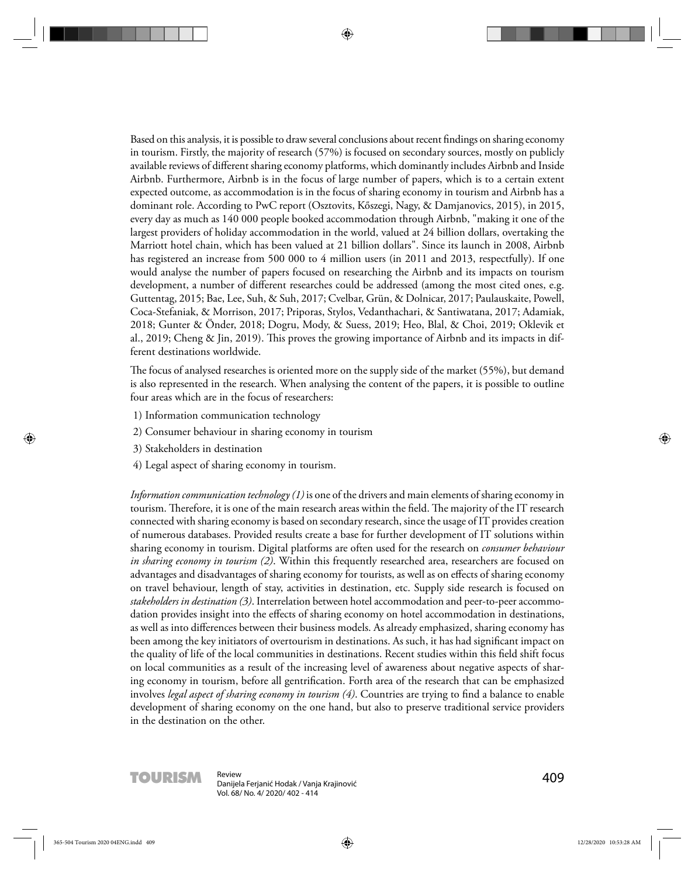Based on this analysis, it is possible to draw several conclusions about recent findings on sharing economy in tourism. Firstly, the majority of research (57%) is focused on secondary sources, mostly on publicly available reviews of different sharing economy platforms, which dominantly includes Airbnb and Inside Airbnb. Furthermore, Airbnb is in the focus of large number of papers, which is to a certain extent expected outcome, as accommodation is in the focus of sharing economy in tourism and Airbnb has a dominant role. According to PwC report (Osztovits, Kőszegi, Nagy, & Damjanovics, 2015), in 2015, every day as much as 140 000 people booked accommodation through Airbnb, "making it one of the largest providers of holiday accommodation in the world, valued at 24 billion dollars, overtaking the Marriott hotel chain, which has been valued at 21 billion dollars". Since its launch in 2008, Airbnb has registered an increase from 500 000 to 4 million users (in 2011 and 2013, respectfully). If one would analyse the number of papers focused on researching the Airbnb and its impacts on tourism development, a number of different researches could be addressed (among the most cited ones, e.g. Guttentag, 2015; Bae, Lee, Suh, & Suh, 2017; Cvelbar, Grün, & Dolnicar, 2017; Paulauskaite, Powell, Coca-Stefaniak, & Morrison, 2017; Priporas, Stylos, Vedanthachari, & Santiwatana, 2017; Adamiak, 2018; Gunter & Önder, 2018; Dogru, Mody, & Suess, 2019; Heo, Blal, & Choi, 2019; Oklevik et al., 2019; Cheng & Jin, 2019). This proves the growing importance of Airbnb and its impacts in different destinations worldwide.

The focus of analysed researches is oriented more on the supply side of the market (55%), but demand is also represented in the research. When analysing the content of the papers, it is possible to outline four areas which are in the focus of researchers:

- 1) Information communication technology
- 2) Consumer behaviour in sharing economy in tourism
- 3) Stakeholders in destination
- 4) Legal aspect of sharing economy in tourism.

*Information communication technology (1)* is one of the drivers and main elements of sharing economy in tourism. Therefore, it is one of the main research areas within the field. The majority of the IT research connected with sharing economy is based on secondary research, since the usage of IT provides creation of numerous databases. Provided results create a base for further development of IT solutions within sharing economy in tourism. Digital platforms are often used for the research on *consumer behaviour in sharing economy in tourism (2)*. Within this frequently researched area, researchers are focused on advantages and disadvantages of sharing economy for tourists, as well as on effects of sharing economy on travel behaviour, length of stay, activities in destination, etc. Supply side research is focused on *stakeholders in destination (3)*. Interrelation between hotel accommodation and peer-to-peer accommodation provides insight into the effects of sharing economy on hotel accommodation in destinations, as well as into differences between their business models. As already emphasized, sharing economy has been among the key initiators of overtourism in destinations. As such, it has had significant impact on the quality of life of the local communities in destinations. Recent studies within this field shift focus on local communities as a result of the increasing level of awareness about negative aspects of sharing economy in tourism, before all gentrification. Forth area of the research that can be emphasized involves *legal aspect of sharing economy in tourism (4)*. Countries are trying to find a balance to enable development of sharing economy on the one hand, but also to preserve traditional service providers in the destination on the other.



**TOURISM** Review<br>
Danijela Ferjanić Hodak / Vanja Krajinović **1988 - 1988 - 1988 - 1988 - 1989 - 1989 - 1989 - 1988** Vol. 68/ No. 4/ 2020/ 402 - 414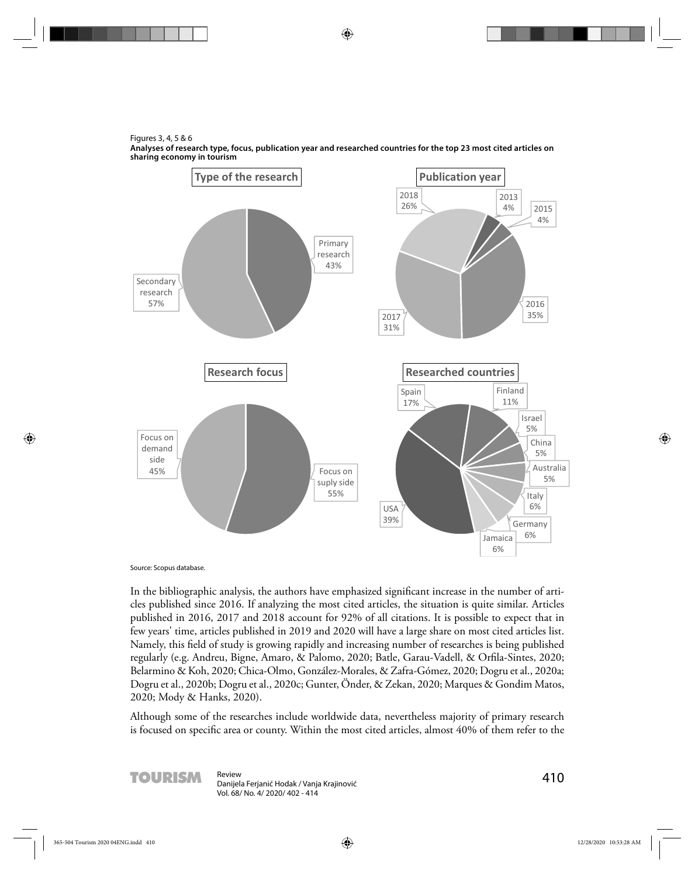Figures 3, 4, 5 & 6



**Analyses of research type, focus, publication year and researched countries for the top 23 most cited articles on sharing economy in tourism**

Source: Scopus database.

In the bibliographic analysis, the authors have emphasized significant increase in the number of articles published since 2016. If analyzing the most cited articles, the situation is quite similar. Articles published in 2016, 2017 and 2018 account for 92% of all citations. It is possible to expect that in few years' time, articles published in 2019 and 2020 will have a large share on most cited articles list. Namely, this field of study is growing rapidly and increasing number of researches is being published regularly (e.g. Andreu, Bigne, Amaro, & Palomo, 2020; Batle, Garau-Vadell, & Orfila-Sintes, 2020; Belarmino & Koh, 2020; Chica-Olmo, González-Morales, & Zafra-Gómez, 2020; Dogru et al., 2020a; Dogru et al., 2020b; Dogru et al., 2020c; Gunter, Önder, & Zekan, 2020; Marques & Gondim Matos, 2020; Mody & Hanks, 2020).

Although some of the researches include worldwide data, nevertheless majority of primary research is focused on specific area or county. Within the most cited articles, almost 40% of them refer to the

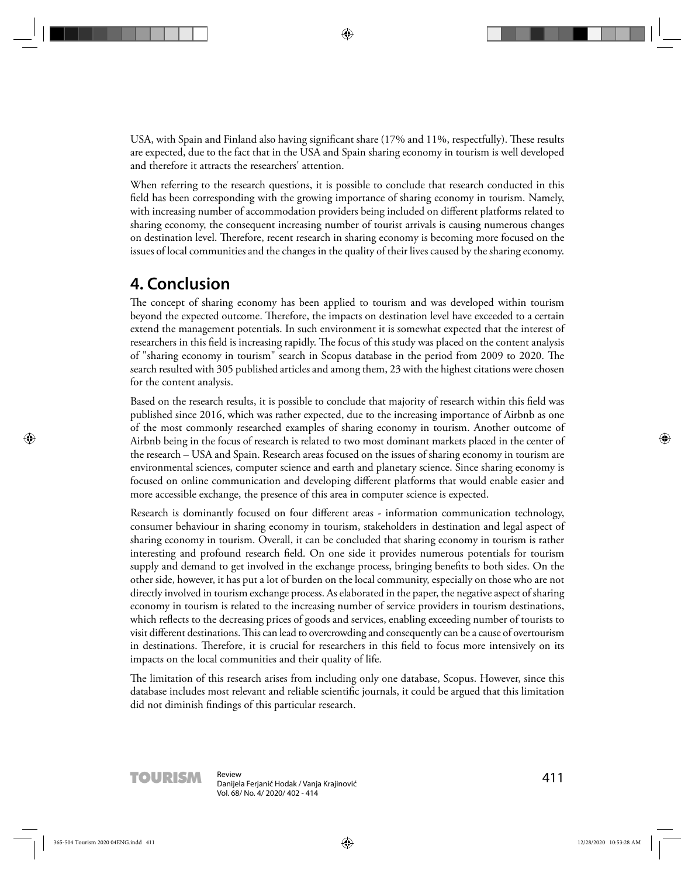USA, with Spain and Finland also having significant share (17% and 11%, respectfully). These results are expected, due to the fact that in the USA and Spain sharing economy in tourism is well developed and therefore it attracts the researchers' attention.

When referring to the research questions, it is possible to conclude that research conducted in this field has been corresponding with the growing importance of sharing economy in tourism. Namely, with increasing number of accommodation providers being included on different platforms related to sharing economy, the consequent increasing number of tourist arrivals is causing numerous changes on destination level. Therefore, recent research in sharing economy is becoming more focused on the issues of local communities and the changes in the quality of their lives caused by the sharing economy.

#### **4. Conclusion**

The concept of sharing economy has been applied to tourism and was developed within tourism beyond the expected outcome. Therefore, the impacts on destination level have exceeded to a certain extend the management potentials. In such environment it is somewhat expected that the interest of researchers in this field is increasing rapidly. The focus of this study was placed on the content analysis of "sharing economy in tourism" search in Scopus database in the period from 2009 to 2020. The search resulted with 305 published articles and among them, 23 with the highest citations were chosen for the content analysis.

Based on the research results, it is possible to conclude that majority of research within this field was published since 2016, which was rather expected, due to the increasing importance of Airbnb as one of the most commonly researched examples of sharing economy in tourism. Another outcome of Airbnb being in the focus of research is related to two most dominant markets placed in the center of the research – USA and Spain. Research areas focused on the issues of sharing economy in tourism are environmental sciences, computer science and earth and planetary science. Since sharing economy is focused on online communication and developing different platforms that would enable easier and more accessible exchange, the presence of this area in computer science is expected.

Research is dominantly focused on four different areas - information communication technology, consumer behaviour in sharing economy in tourism, stakeholders in destination and legal aspect of sharing economy in tourism. Overall, it can be concluded that sharing economy in tourism is rather interesting and profound research field. On one side it provides numerous potentials for tourism supply and demand to get involved in the exchange process, bringing benefits to both sides. On the other side, however, it has put a lot of burden on the local community, especially on those who are not directly involved in tourism exchange process. As elaborated in the paper, the negative aspect of sharing economy in tourism is related to the increasing number of service providers in tourism destinations, which reflects to the decreasing prices of goods and services, enabling exceeding number of tourists to visit different destinations. This can lead to overcrowding and consequently can be a cause of overtourism in destinations. Therefore, it is crucial for researchers in this field to focus more intensively on its impacts on the local communities and their quality of life.

The limitation of this research arises from including only one database, Scopus. However, since this database includes most relevant and reliable scientific journals, it could be argued that this limitation did not diminish findings of this particular research.

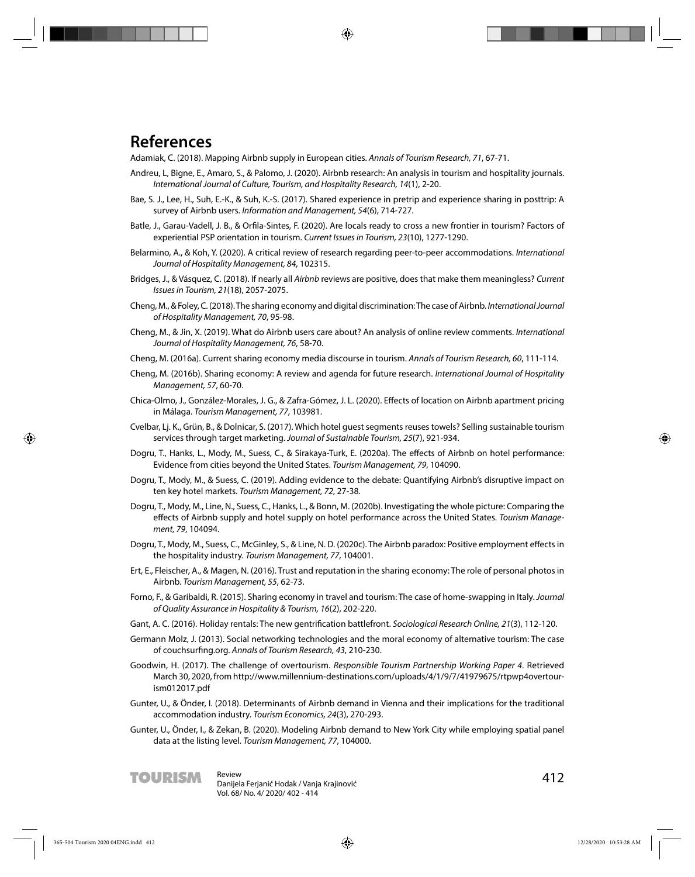#### **References**

Adamiak, C. (2018). Mapping Airbnb supply in European cities. Annals of Tourism Research, 71, 67-71.

- Andreu, L, Bigne, E., Amaro, S., & Palomo, J. (2020). Airbnb research: An analysis in tourism and hospitality journals. International Journal of Culture, Tourism, and Hospitality Research, 14(1), 2-20.
- Bae, S. J., Lee, H., Suh, E.-K., & Suh, K.-S. (2017). Shared experience in pretrip and experience sharing in posttrip: A survey of Airbnb users. Information and Management, 54(6), 714-727.
- Batle, J., Garau-Vadell, J. B., & Orfila-Sintes, F. (2020). Are locals ready to cross a new frontier in tourism? Factors of experiential PSP orientation in tourism. Current Issues in Tourism, 23(10), 1277-1290.
- Belarmino, A., & Koh, Y. (2020). A critical review of research regarding peer-to-peer accommodations. International Journal of Hospitality Management, 84, 102315.
- Bridges, J., & Vásquez, C. (2018). If nearly all Airbnb reviews are positive, does that make them meaningless? Current Issues in Tourism, 21(18), 2057-2075.
- Cheng, M., & Foley, C. (2018). The sharing economy and digital discrimination: The case of Airbnb. International Journal of Hospitality Management, 70, 95-98.
- Cheng, M., & Jin, X. (2019). What do Airbnb users care about? An analysis of online review comments. International Journal of Hospitality Management, 76, 58-70.
- Cheng, M. (2016a). Current sharing economy media discourse in tourism. Annals of Tourism Research, 60, 111-114.
- Cheng, M. (2016b). Sharing economy: A review and agenda for future research. International Journal of Hospitality Management, 57, 60-70.
- Chica-Olmo, J., González-Morales, J. G., & Zafra-Gómez, J. L. (2020). Effects of location on Airbnb apartment pricing in Málaga. Tourism Management, 77, 103981.
- Cvelbar, Lj. K., Grün, B., & Dolnicar, S. (2017). Which hotel guest segments reuses towels? Selling sustainable tourism services through target marketing. Journal of Sustainable Tourism, 25(7), 921-934.
- Dogru, T., Hanks, L., Mody, M., Suess, C., & Sirakaya-Turk, E. (2020a). The effects of Airbnb on hotel performance: Evidence from cities beyond the United States. Tourism Management, 79, 104090.
- Dogru, T., Mody, M., & Suess, C. (2019). Adding evidence to the debate: Quantifying Airbnb's disruptive impact on ten key hotel markets. Tourism Management, 72, 27-38.
- Dogru, T., Mody, M., Line, N., Suess, C., Hanks, L., & Bonn, M. (2020b). Investigating the whole picture: Comparing the effects of Airbnb supply and hotel supply on hotel performance across the United States. Tourism Management, 79, 104094.
- Dogru, T., Mody, M., Suess, C., McGinley, S., & Line, N. D. (2020c). The Airbnb paradox: Positive employment effects in the hospitality industry. Tourism Management, 77, 104001.
- Ert, E., Fleischer, A., & Magen, N. (2016). Trust and reputation in the sharing economy: The role of personal photos in Airbnb. Tourism Management, 55, 62-73.
- Forno, F., & Garibaldi, R. (2015). Sharing economy in travel and tourism: The case of home-swapping in Italy. Journal of Quality Assurance in Hospitality & Tourism, 16(2), 202-220.
- Gant, A. C. (2016). Holiday rentals: The new gentrification battlefront. Sociological Research Online, 21(3), 112-120.
- Germann Molz, J. (2013). Social networking technologies and the moral economy of alternative tourism: The case of couchsurfing.org. Annals of Tourism Research, 43, 210-230.
- Goodwin, H. (2017). The challenge of overtourism. Responsible Tourism Partnership Working Paper 4. Retrieved March 30, 2020, from http://www.millennium-destinations.com/uploads/4/1/9/7/41979675/rtpwp4overtourism012017.pdf
- Gunter, U., & Önder, I. (2018). Determinants of Airbnb demand in Vienna and their implications for the traditional accommodation industry. Tourism Economics, 24(3), 270-293.
- Gunter, U., Önder, I., & Zekan, B. (2020). Modeling Airbnb demand to New York City while employing spatial panel data at the listing level. Tourism Management, 77, 104000.

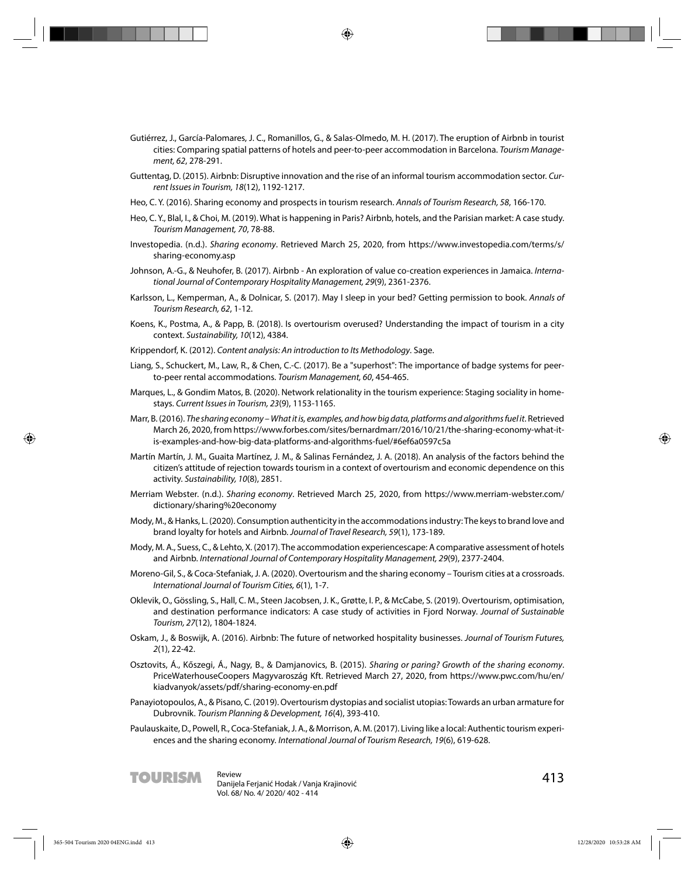- Gutiérrez, J., García-Palomares, J. C., Romanillos, G., & Salas-Olmedo, M. H. (2017). The eruption of Airbnb in tourist cities: Comparing spatial patterns of hotels and peer-to-peer accommodation in Barcelona. Tourism Management, 62, 278-291.
- Guttentag, D. (2015). Airbnb: Disruptive innovation and the rise of an informal tourism accommodation sector. Current Issues in Tourism, 18(12), 1192-1217.
- Heo, C. Y. (2016). Sharing economy and prospects in tourism research. Annals of Tourism Research, 58, 166-170.
- Heo, C. Y., Blal, I., & Choi, M. (2019). What is happening in Paris? Airbnb, hotels, and the Parisian market: A case study. Tourism Management, 70, 78-88.
- Investopedia. (n.d.). Sharing economy. Retrieved March 25, 2020, from https://www.investopedia.com/terms/s/ sharing-economy.asp
- Johnson, A.-G., & Neuhofer, B. (2017). Airbnb An exploration of value co-creation experiences in Jamaica. International Journal of Contemporary Hospitality Management, 29(9), 2361-2376.
- Karlsson, L., Kemperman, A., & Dolnicar, S. (2017). May I sleep in your bed? Getting permission to book. Annals of Tourism Research, 62, 1-12.
- Koens, K., Postma, A., & Papp, B. (2018). Is overtourism overused? Understanding the impact of tourism in a city context. Sustainability, 10(12), 4384.
- Krippendorf, K. (2012). Content analysis: An introduction to Its Methodology. Sage.
- Liang, S., Schuckert, M., Law, R., & Chen, C.-C. (2017). Be a "superhost": The importance of badge systems for peerto-peer rental accommodations. Tourism Management, 60, 454-465.
- Marques, L., & Gondim Matos, B. (2020). Network relationality in the tourism experience: Staging sociality in homestays. Current Issues in Tourism, 23(9), 1153-1165.
- Marr, B. (2016). The sharing economy What it is, examples, and how big data, platforms and algorithms fuel it. Retrieved March 26, 2020, from https://www.forbes.com/sites/bernardmarr/2016/10/21/the-sharing-economy-what-itis-examples-and-how-big-data-platforms-and-algorithms-fuel/#6ef6a0597c5a
- Martín Martín, J. M., Guaita Martínez, J. M., & Salinas Fernández, J. A. (2018). An analysis of the factors behind the citizen's attitude of rejection towards tourism in a context of overtourism and economic dependence on this activity. Sustainability, 10(8), 2851.
- Merriam Webster. (n.d.). Sharing economy. Retrieved March 25, 2020, from https://www.merriam-webster.com/ dictionary/sharing%20economy
- Mody, M., & Hanks, L. (2020). Consumption authenticity in the accommodations industry: The keys to brand love and brand loyalty for hotels and Airbnb. Journal of Travel Research, 59(1), 173-189.
- Mody, M. A., Suess, C., & Lehto, X. (2017). The accommodation experiencescape: A comparative assessment of hotels and Airbnb. International Journal of Contemporary Hospitality Management, 29(9), 2377-2404.
- Moreno-Gil, S., & Coca-Stefaniak, J. A. (2020). Overtourism and the sharing economy Tourism cities at a crossroads. International Journal of Tourism Cities, 6(1), 1-7.
- Oklevik, O., Gössling, S., Hall, C. M., Steen Jacobsen, J. K., Grøtte, I. P., & McCabe, S. (2019). Overtourism, optimisation, and destination performance indicators: A case study of activities in Fjord Norway. Journal of Sustainable Tourism, 27(12), 1804-1824.
- Oskam, J., & Boswijk, A. (2016). Airbnb: The future of networked hospitality businesses. Journal of Tourism Futures, 2(1), 22-42.
- Osztovits, Á., Kőszegi, Á., Nagy, B., & Damjanovics, B. (2015). Sharing or paring? Growth of the sharing economy. PriceWaterhouseCoopers Magyvaroszág Kft. Retrieved March 27, 2020, from https://www.pwc.com/hu/en/ kiadvanyok/assets/pdf/sharing-economy-en.pdf
- Panayiotopoulos, A., & Pisano, C. (2019). Overtourism dystopias and socialist utopias: Towards an urban armature for Dubrovnik. Tourism Planning & Development, 16(4), 393-410.
- Paulauskaite, D., Powell, R., Coca-Stefaniak, J. A., & Morrison, A. M. (2017). Living like a local: Authentic tourism experiences and the sharing economy. International Journal of Tourism Research, 19(6), 619-628.